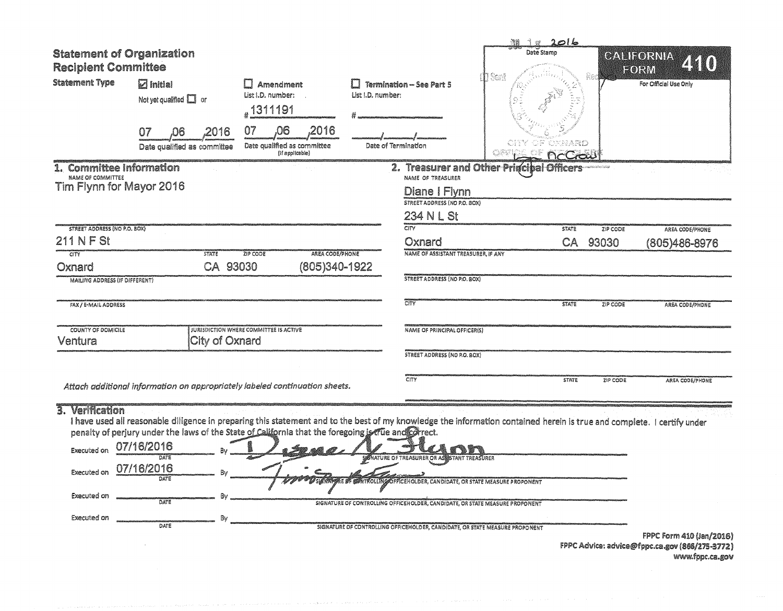| <b>Statement of Organization</b><br><b>Recipient Committee</b><br><b>Statement Type</b>              | $\boldsymbol{\nabla}$ Initial<br>Not yet qualified $\Box$ or<br>2016<br>07<br>06<br>Date qualified as committee                                                                                                                                                                                                                    | <b>Amendment</b><br>List I.D. number:<br><sub>#</sub> 1311191<br>07<br>,06<br>,2016<br>Date qualified as committee<br>(If applicable) | List I.D. number: | <b>Termination - See Part 5</b><br>Date of Termination                                                                                                                                                                                                                                    | 11 12 2016<br>Date Stamp<br>$\mathbf{\hat{I}}$ Sont<br>OXNARD<br>nccas |                             | CALIFORNIA<br>74 Q<br>FORM<br>For Official Use Only |
|------------------------------------------------------------------------------------------------------|------------------------------------------------------------------------------------------------------------------------------------------------------------------------------------------------------------------------------------------------------------------------------------------------------------------------------------|---------------------------------------------------------------------------------------------------------------------------------------|-------------------|-------------------------------------------------------------------------------------------------------------------------------------------------------------------------------------------------------------------------------------------------------------------------------------------|------------------------------------------------------------------------|-----------------------------|-----------------------------------------------------|
| 1. Committee Information<br>NAME OF COMMITTEE<br>Tim Flynn for Mayor 2016                            |                                                                                                                                                                                                                                                                                                                                    |                                                                                                                                       |                   | NAME OF TREASURER<br>Diane I Flynn<br><b>STREET ADDRESS (NO P.O. BOX)</b><br>234 N L St                                                                                                                                                                                                   | 2. Treasurer and Other Principal Officers                              | <b>SERIES EN ELECTRICIA</b> |                                                     |
| STREET ADDRESS (NO P.O. 80X)                                                                         |                                                                                                                                                                                                                                                                                                                                    |                                                                                                                                       |                   | CITY                                                                                                                                                                                                                                                                                      | <b>STATE</b>                                                           | ZIP CODE                    | AREA CODE/PHONE                                     |
| 211 N F St                                                                                           |                                                                                                                                                                                                                                                                                                                                    | AREA CODE/PHONE                                                                                                                       |                   | Oxnard<br>NAME OF ASSISTANT TREASURER, IF ANY                                                                                                                                                                                                                                             | CA                                                                     | 93030                       | (805)486-8976                                       |
| CITY<br>Oxnard<br><b>MAILING ADDRESS (IF DIFFERENT)</b>                                              | <b>STATE</b><br>CA 93030                                                                                                                                                                                                                                                                                                           | ZIP CODE<br>(805)340-1922                                                                                                             |                   | <b>STREET ADDRESS (NO P.O. BOX)</b>                                                                                                                                                                                                                                                       |                                                                        |                             |                                                     |
| FAX / E-MAIL ADDRESS                                                                                 |                                                                                                                                                                                                                                                                                                                                    |                                                                                                                                       |                   | CITY                                                                                                                                                                                                                                                                                      | <b>STATE</b>                                                           | ZIP CODE                    | AREA CODE/PHONE                                     |
| <b>COUNTY OF DOMICILE</b><br>Ventura                                                                 | City of Oxnard                                                                                                                                                                                                                                                                                                                     | <b>JURISDICTION WHERE COMMITTEE IS ACTIVE</b>                                                                                         |                   | <b>NAME OF PRINCIPAL OFFICER(S)</b>                                                                                                                                                                                                                                                       |                                                                        |                             |                                                     |
|                                                                                                      |                                                                                                                                                                                                                                                                                                                                    |                                                                                                                                       |                   | <b>STREET ADDRESS (NO P.O. BOX)</b>                                                                                                                                                                                                                                                       |                                                                        |                             |                                                     |
|                                                                                                      | Attach additional information on appropriately labeled continuation sheets.                                                                                                                                                                                                                                                        |                                                                                                                                       |                   | CITY                                                                                                                                                                                                                                                                                      | <b>STATE</b>                                                           | ZIP CODE                    | AREA CODE/PHONE                                     |
| 3. Verification<br><b>Executed on</b><br>Executed on 07/16/2016<br>Executed on<br><b>Executed on</b> | I have used all reasonable diligence in preparing this statement and to the best of my knowledge the information contained herein is true and complete. I certify under<br>penalty of perjury under the laws of the State of California that the foregoing is the and Correct.<br>07/16/2016<br>DATE<br>DATE<br>DATE<br>B.<br>DATE |                                                                                                                                       |                   | SIGNATURE OF TREASURER OR AS STANT TREASURER<br>NAPPRE OF CONTROLLING OFFICEHOLDER, CANDIDATE, OR STATE MEASURE PROPONENT<br>SIGNATURE OF CONTROLLING OFFICEHOLDER, CANDIDATE, OR STATE MEASURE PROPONENT<br>SIGNATURE OF CONTROLLING OFFICEHOLDER, CANDIDATE, OR STATE MEASURE PROPONENT |                                                                        |                             | FPPC Form 410 (Jan/2016)                            |

FPPC Advice: advice@fppc.ca.gov (866/275-3772) www.fppc.ca.gov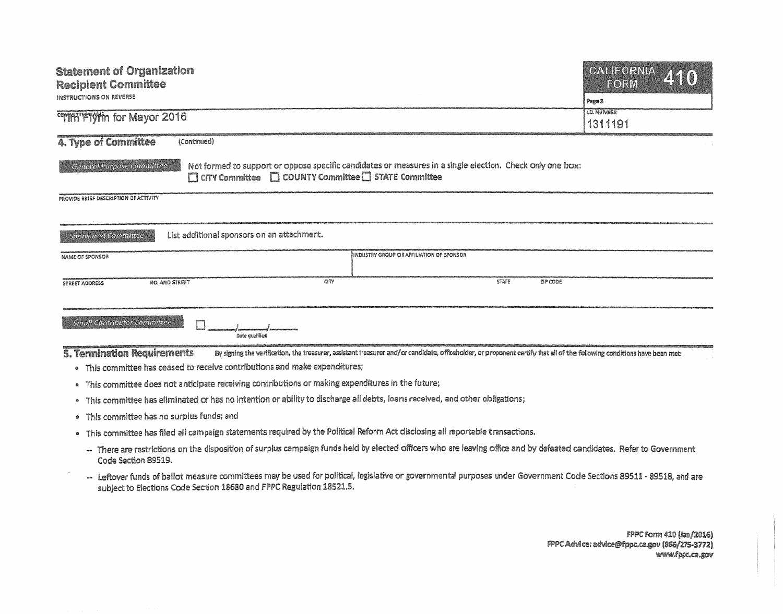| <b>Statement of Organization</b><br><b>Recipient Committee</b><br>INSTRUCTIONS ON REVERSE<br><b>COMMATERWIN for Mayor 2016</b>                                                                                 | <b>GALIFORNIA</b><br>ZEKO)<br><b>EORM</b><br>Page 3<br><b>I.D. NUMBER</b><br>1311191 |
|----------------------------------------------------------------------------------------------------------------------------------------------------------------------------------------------------------------|--------------------------------------------------------------------------------------|
| 4. Type of Committee<br>(Continued)                                                                                                                                                                            |                                                                                      |
| Not formed to support or oppose specific candidates or measures in a single election. Check only one box:<br>General Purpose Committee<br>$\Box$ CITY Committee $\Box$ COUNTY Committee $\Box$ STATE Committee |                                                                                      |
| PROVIDE BRIEF DESCRIPTION OF ACTIVITY                                                                                                                                                                          |                                                                                      |
|                                                                                                                                                                                                                |                                                                                      |
| List additional sponsors on an attachment.<br>Sconsored Committee                                                                                                                                              |                                                                                      |
| INDUSTRY GROUP OR AFFILIATION OF SPONSOR<br><b>NAME OF SPONSOR</b>                                                                                                                                             |                                                                                      |
|                                                                                                                                                                                                                |                                                                                      |
| CITY<br><b>STATE</b><br>ZIP CODE<br>NO. AND STREET<br>STREET ADDRESS                                                                                                                                           |                                                                                      |
|                                                                                                                                                                                                                |                                                                                      |
| <b>Small Contributor Committee</b><br>Date qualified                                                                                                                                                           |                                                                                      |
| <b>5. Termination Requirements</b><br>By signing the verification, the treasurer, assistant treasurer and/or candidate, officeholder, or proponent certify that all of the following conditions have been met: |                                                                                      |
| . This committee has ceased to receive contributions and make expenditures;                                                                                                                                    |                                                                                      |
| . This committee does not anticipate receiving contributions or making expenditures in the future;                                                                                                             |                                                                                      |
| . This committee has eliminated or has no intention or ability to discharge all debts, loans received, and other obligations;                                                                                  |                                                                                      |
| This committee has no surplus funds; and<br>۰                                                                                                                                                                  |                                                                                      |
| • This committee has filed all campaign statements required by the Political Reform Act disclosing all reportable transactions.                                                                                |                                                                                      |
| -- There are restrictions on the disposition of surplus campaign funds held by elected officers who are leaving office and by defeated candidates. Refer to Government<br>Code Section 89519.                  |                                                                                      |

-- Leftover funds of ballot measure committees may be used for political, legislative or governmental purposes under Government Code Sections 89511 - 89518, and are to Elections Code Section 18680 and FPPC Regulation 18521.5.